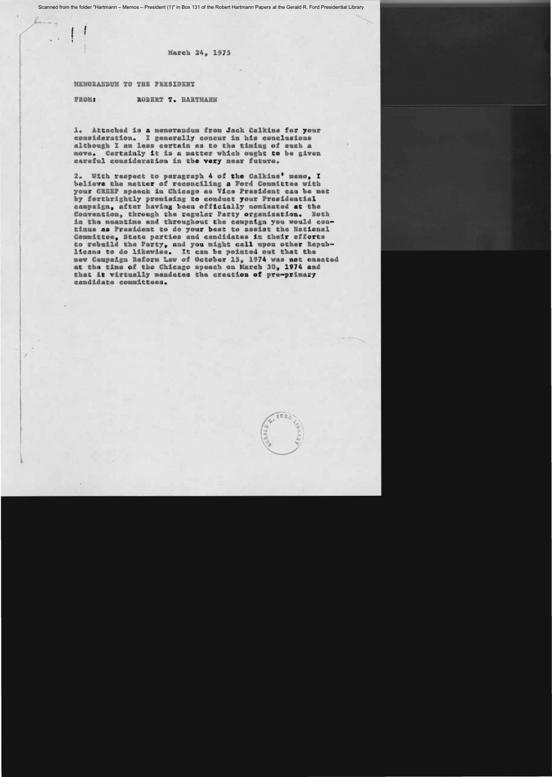Scanned from the folder "Hartmann - Memos - President (1)" in Box 131 of the Robert Hartmann Papers at the Gerald R. Ford Presidential Library

March 24, 1975

MEMORANDUM TO THE PRESIDENT

FROM: ROBERT T. HARTMANN

1. Attached is a memorandum from Jack Calkins for your consideration. I generally concur in his conclusions although I am less cortain as to the timing of such a move. Certainly it is a matter which ought to be given careful consideration in the very near future.

2. With respect to paragraph 4 of the Calkins' memo. I balieve the matter of reconciling a Ford Committee with your CREEP spaech in Chicago as Vice President can be net by forthrightly premising to conduct your Presidential campaign, after having been officially nominated at the Convention, through the regular Party organization. Both in the meantime and throughout the campaign you would continua as President to do your best to assist the Hational Committee, State parties and candidates in their efforts to rebuild the Party, and you might call upon other Republicans to do likewise. It can be pointed out that the new Campaign Reform Law of October 15. 1974 was not enacted at the time of the Chicago speech on Harch 30, 1974 and that it wirtually mandates the creation of pre-primary candidate committees.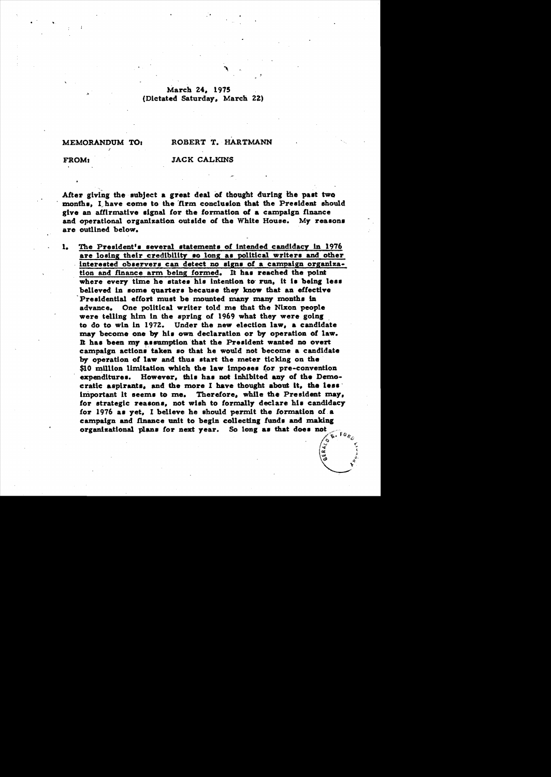# March 24, 1975 (Dictated Saturday, March 22)

#### MEMORANDUM TO:

# ROBERT T. HARTMANN

FROM:

### **JACK CALKINS**

After giving the subject a great deal of thought during the past two months. I have come to the firm conclusion that the President should give an affirmative signal for the formation of a campaign finance and operational organization outside of the White House. My reasons are outlined below.

The President's several statements of intended candidacy in 1976  $\mathbf{L}$ are losing their credibility so long as political writers and other interested observers can detect no signs of a campaign organization and finance arm being formed. It has reached the point where every time he states his intention to run, it is being less believed in some quarters because they know that an effective Presidential effort must be mounted many many months in advance. One political writer told me that the Nixon people were telling him in the spring of 1969 what they were going to do to win in 1972. Under the new election law, a candidate may become one by his own declaration or by operation of law. It has been my assumption that the President wanted no overt campaign actions taken so that he would not become a candidate by operation of law and thus start the meter ticking on the \$10 million limitation which the law imposes for pre-convention expenditures. However, this has not inhibited any of the Democratic aspirants, and the more I have thought about it, the less important it seems to me. Therefore, while the President may, for strategic reasons, not wish to formally declare his candidacy for 1976 as yet, I believe he should permit the formation of a campaign and finance unit to begin collecting funds and making organizational plans for next year. So long as that does not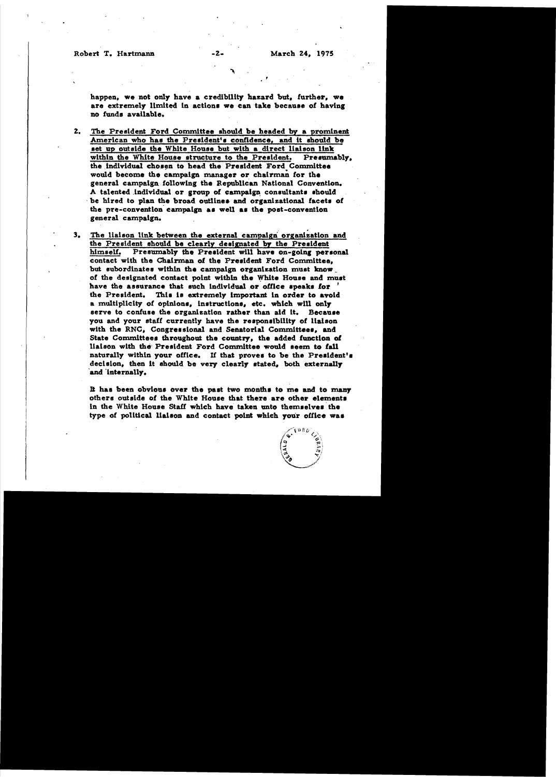Robert T. Hartmann

March 24, 1975

happen, we not only have a credibility hazard but, further, we are extremely limited in actions we can take because of having no funds available.

-2.

- $2.$ The President Ford Committee should be headed by a prominent American who has the President's confidence, and it should be set up outside the White House but with a direct liaison link within the White House structure to the President. Presumably. the individual chosen to head the President Ford Committee would become the campaign manager or chairman for the general campaign following the Republican National Convention. A talented individual or group of campaign consultants should be hired to plan the broad outlines and organizational facets of the pre-convention campaign as well as the post-convention general campaign.
- The liaison link between the external campaign organization and з. the President should be clearly designated by the President Presumably the President will have on-going personal himself. contact with the Chairman of the President Ford Committee. but subordinates within the campaign organization must know of the designated contact point within the White House and must have the assurance that such individual or office speaks for the President. This is extremely important in order to avoid a multiplicity of opinions, instructions, etc. which will only serve to confuse the organization rather than aid it. Because you and your staff currently have the responsibility of liaison with the RNC, Congressional and Senatorial Committees, and State Committees throughout the country, the added function of liaison with the President Ford Committee would seem to fall naturally within your office. If that proves to be the President's decision, then it should be very clearly stated, both externally and internally.

It has been obvious over the past two months to me and to many others outside of the White House that there are other elements in the White House Staff which have taken unto themselves the type of political liaison and contact point which your office was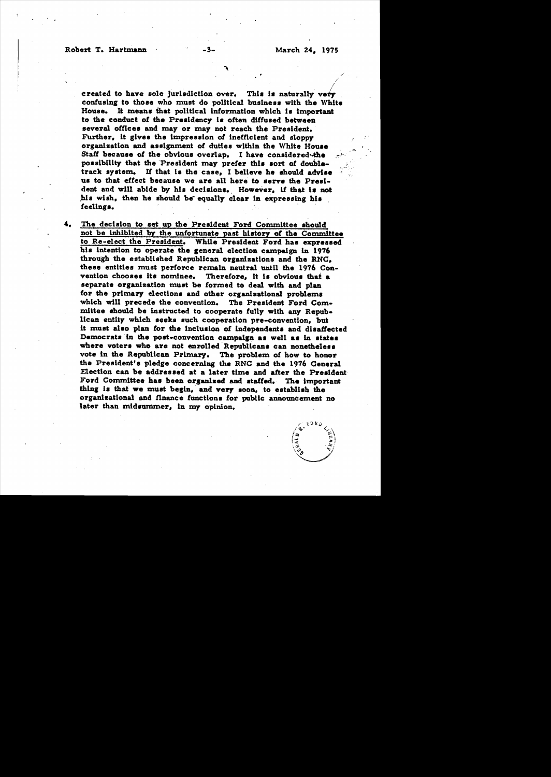#### Robert T. Hartmann

March 24, 1975

created to have sole jurisdiction over. This is naturally very confusing to those who must do political business with the White House. It means that political information which is important to the conduct of the Presidency is often diffused between several offices and may or may not reach the President. Further, it gives the impression of inefficient and sloppy organization and assignment of duties within the White House Staff because of the obvious overlap. I have considered the possibility that the President may prefer this sort of doubletrack system. If that is the case, I believe he should advise us to that effect because we are all here to serve the President and will abide by his decisions. However, if that is not his wish, then he should be equally clear in expressing his feelings.

-3-

4. The decision to set up the President Ford Committee should not be inhibited by the unfortunate past history of the Committee to Re-elect the President. While President Ford has expressed his intention to operate the general election campaign in 1976 through the established Republican organizations and the RNG. these entities must perforce remain neutral until the 1976 Convention chooses its nominee. Therefore, it is obvious that a separate organization must be formed to deal with and plan for the primary elections and other organizational problems which will precede the convention. The President Ford Committee should be instructed to cooperate fully with any Republican entity which seeks such cooperation pre-convention, but it must also plan for the inclusion of independents and disaffected Democrats in the post-convention campaign as well as in states where voters who are not enrolled Republicans can nonetheless vote in the Republican Primary. The problem of how to honor the President's pledge concerning the RNC and the 1976 General Election can be addressed at a later time and after the President Ford Committee has been organized and staffed. The important thing is that we must begin, and very soon, to establish the organizational and finance functions for public announcement no later than midsummer, in my opinion.